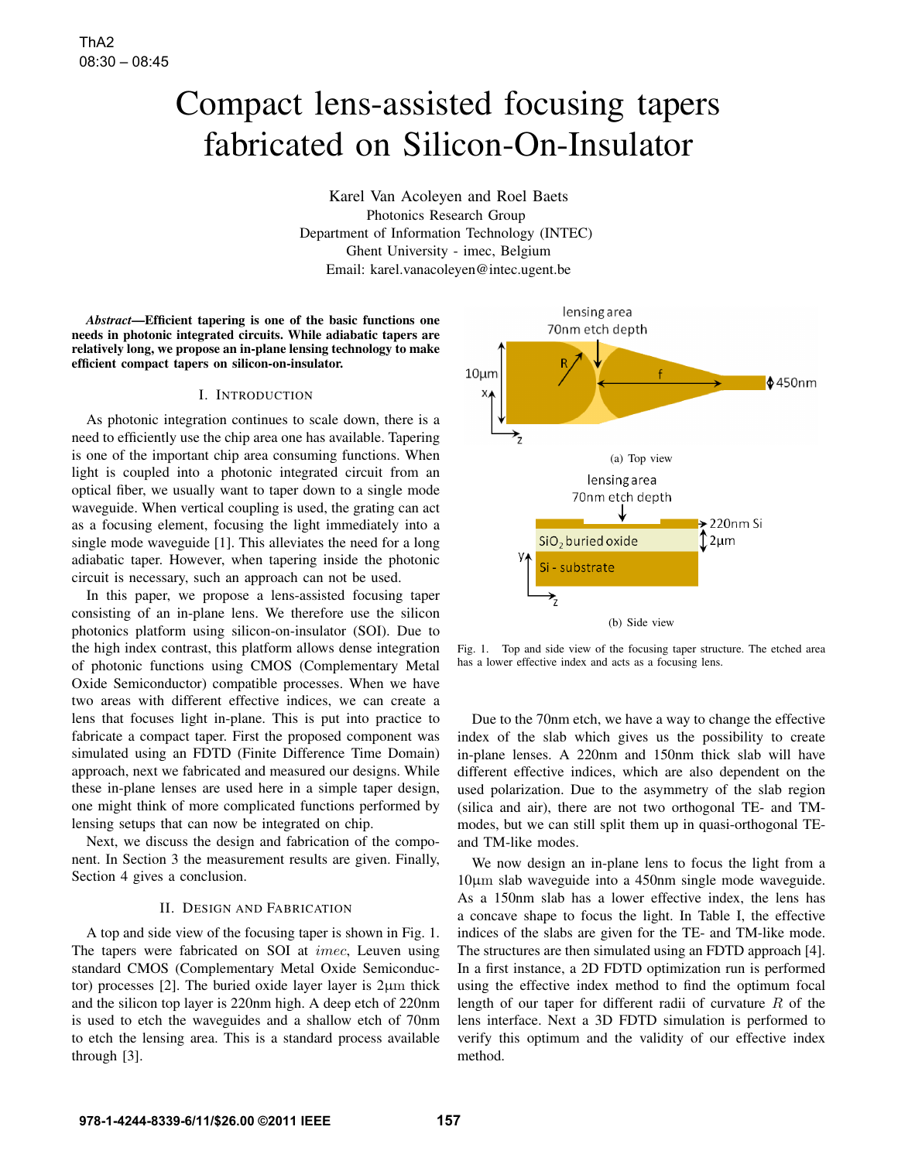# Compact lens-assisted focusing tapers fabricated on Silicon-On-Insulator

Karel Van Acoleyen and Roel Baets Photonics Research Group Department of Information Technology (INTEC) Ghent University - imec, Belgium Email: karel.vanacoleyen@intec.ugent.be

*Abstract*—Efficient tapering is one of the basic functions one needs in photonic integrated circuits. While adiabatic tapers are relatively long, we propose an in-plane lensing technology to make efficient compact tapers on silicon-on-insulator.

## I. INTRODUCTION

As photonic integration continues to scale down, there is a need to efficiently use the chip area one has available. Tapering is one of the important chip area consuming functions. When light is coupled into a photonic integrated circuit from an optical fiber, we usually want to taper down to a single mode waveguide. When vertical coupling is used, the grating can act as a focusing element, focusing the light immediately into a single mode waveguide [1]. This alleviates the need for a long adiabatic taper. However, when tapering inside the photonic circuit is necessary, such an approach can not be used.

In this paper, we propose a lens-assisted focusing taper consisting of an in-plane lens. We therefore use the silicon photonics platform using silicon-on-insulator (SOI). Due to the high index contrast, this platform allows dense integration of photonic functions using CMOS (Complementary Metal Oxide Semiconductor) compatible processes. When we have two areas with different effective indices, we can create a lens that focuses light in-plane. This is put into practice to fabricate a compact taper. First the proposed component was simulated using an FDTD (Finite Difference Time Domain) approach, next we fabricated and measured our designs. While these in-plane lenses are used here in a simple taper design, one might think of more complicated functions performed by lensing setups that can now be integrated on chip.

Next, we discuss the design and fabrication of the component. In Section 3 the measurement results are given. Finally, Section 4 gives a conclusion.

### II. DESIGN AND FABRICATION

A top and side view of the focusing taper is shown in Fig. 1. The tapers were fabricated on SOI at *imec*, Leuven using standard CMOS (Complementary Metal Oxide Semiconductor) processes [2]. The buried oxide layer layer is 2µm thick and the silicon top layer is 220nm high. A deep etch of 220nm is used to etch the waveguides and a shallow etch of 70nm to etch the lensing area. This is a standard process available through [3].



Fig. 1. Top and side view of the focusing taper structure. The etched area has a lower effective index and acts as a focusing lens.

Due to the 70nm etch, we have a way to change the effective index of the slab which gives us the possibility to create in-plane lenses. A 220nm and 150nm thick slab will have different effective indices, which are also dependent on the used polarization. Due to the asymmetry of the slab region (silica and air), there are not two orthogonal TE- and TMmodes, but we can still split them up in quasi-orthogonal TEand TM-like modes.

We now design an in-plane lens to focus the light from a  $10\mu$ m slab waveguide into a 450nm single mode waveguide. As a 150nm slab has a lower effective index, the lens has a concave shape to focus the light. In Table I, the effective indices of the slabs are given for the TE- and TM-like mode. The structures are then simulated using an FDTD approach [4]. In a first instance, a 2D FDTD optimization run is performed using the effective index method to find the optimum focal length of our taper for different radii of curvature  $R$  of the lens interface. Next a 3D FDTD simulation is performed to verify this optimum and the validity of our effective index method.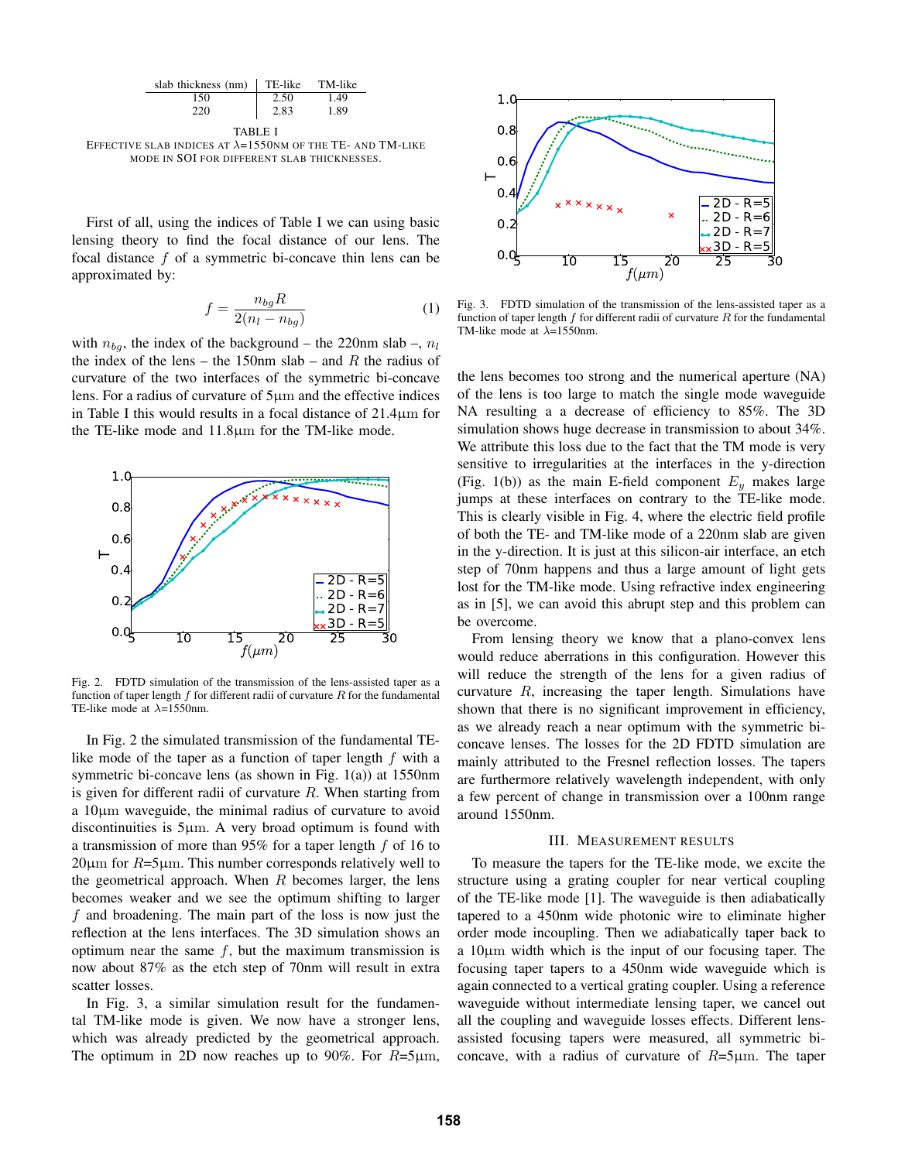| slab thickness (nm) | $\parallel$ TE-like | TM-like |
|---------------------|---------------------|---------|
| 150                 | 2.50                | 1.49    |
| 220                 | 2.83                | 1.89    |
| TABLE I             |                     |         |

EFFECTIVE SLAB INDICES AT  $\lambda = 1550$ NM OF THE TE- AND TM-LIKE MODE IN SOI FOR DIFFERENT SLAB THICKNESSES.

First of all, using the indices of Table I we can using basic lensing theory to find the focal distance of our lens. The focal distance  $f$  of a symmetric bi-concave thin lens can be approximated by:

$$
f = \frac{n_{bg}R}{2(n_l - n_{bg})}
$$
 (1)

with  $n_{bg}$ , the index of the background – the 220nm slab –,  $n_l$ the index of the lens – the 150nm slab – and  $R$  the radius of curvature of the two interfaces of the symmetric bi-concave lens. For a radius of curvature of 5µm and the effective indices in Table I this would results in a focal distance of 21.4µm for the TE-like mode and 11.8µm for the TM-like mode.



Fig. 2. FDTD simulation of the transmission of the lens-assisted taper as a function of taper length  $f$  for different radii of curvature  $R$  for the fundamental TE-like mode at  $\lambda$ =1550nm.

In Fig. 2 the simulated transmission of the fundamental TElike mode of the taper as a function of taper length  $f$  with a symmetric bi-concave lens (as shown in Fig. 1(a)) at 1550nm is given for different radii of curvature  $R$ . When starting from a 10µm waveguide, the minimal radius of curvature to avoid discontinuities is  $5\mu$ m. A very broad optimum is found with a transmission of more than 95% for a taper length  $f$  of 16 to  $20\mu$ m for  $R=5\mu$ m. This number corresponds relatively well to the geometrical approach. When  $R$  becomes larger, the lens becomes weaker and we see the optimum shifting to larger f and broadening. The main part of the loss is now just the reflection at the lens interfaces. The 3D simulation shows an optimum near the same  $f$ , but the maximum transmission is now about 87% as the etch step of 70nm will result in extra scatter losses.

In Fig. 3, a similar simulation result for the fundamental TM-like mode is given. We now have a stronger lens, which was already predicted by the geometrical approach. The optimum in 2D now reaches up to 90%. For  $R=5\mu m$ ,



Fig. 3. FDTD simulation of the transmission of the lens-assisted taper as a function of taper length  $f$  for different radii of curvature  $R$  for the fundamental TM-like mode at  $\lambda$ =1550nm.

the lens becomes too strong and the numerical aperture (NA) of the lens is too large to match the single mode waveguide NA resulting a a decrease of efficiency to 85%. The 3D simulation shows huge decrease in transmission to about 34%. We attribute this loss due to the fact that the TM mode is very sensitive to irregularities at the interfaces in the y-direction (Fig. 1(b)) as the main E-field component  $E_y$  makes large jumps at these interfaces on contrary to the TE-like mode. This is clearly visible in Fig. 4, where the electric field profile of both the TE- and TM-like mode of a 220nm slab are given in the y-direction. It is just at this silicon-air interface, an etch step of 70nm happens and thus a large amount of light gets lost for the TM-like mode. Using refractive index engineering as in [5], we can avoid this abrupt step and this problem can be overcome.

From lensing theory we know that a plano-convex lens would reduce aberrations in this configuration. However this will reduce the strength of the lens for a given radius of curvature  $R$ , increasing the taper length. Simulations have shown that there is no significant improvement in efficiency, as we already reach a near optimum with the symmetric biconcave lenses. The losses for the 2D FDTD simulation are mainly attributed to the Fresnel reflection losses. The tapers are furthermore relatively wavelength independent, with only a few percent of change in transmission over a 100nm range around 1550nm.

### III. MEASUREMENT RESULTS

To measure the tapers for the TE-like mode, we excite the structure using a grating coupler for near vertical coupling of the TE-like mode [1]. The waveguide is then adiabatically tapered to a 450nm wide photonic wire to eliminate higher order mode incoupling. Then we adiabatically taper back to a  $10\mu$ m width which is the input of our focusing taper. The focusing taper tapers to a 450nm wide waveguide which is again connected to a vertical grating coupler. Using a reference waveguide without intermediate lensing taper, we cancel out all the coupling and waveguide losses effects. Different lensassisted focusing tapers were measured, all symmetric biconcave, with a radius of curvature of  $R=5\mu m$ . The taper